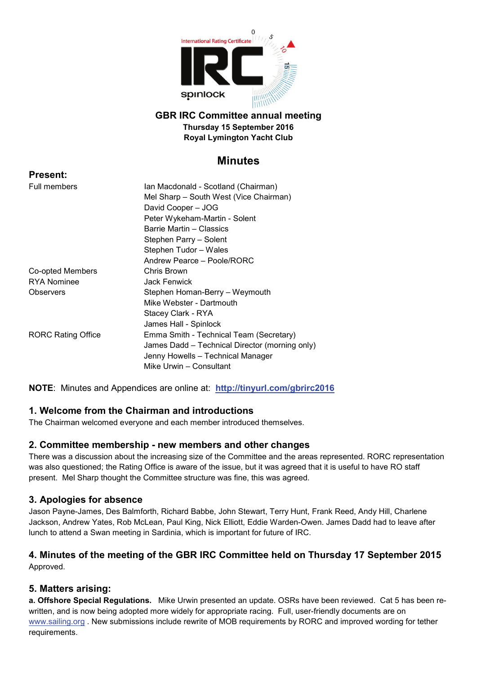

#### **GBR IRC Committee annual meeting Thursday 15 September 2016 Royal Lymington Yacht Club**

# **Minutes**

| <b>Present:</b>           |                                                |
|---------------------------|------------------------------------------------|
| Full members              | Ian Macdonald - Scotland (Chairman)            |
|                           | Mel Sharp - South West (Vice Chairman)         |
|                           | David Cooper - JOG                             |
|                           | Peter Wykeham-Martin - Solent                  |
|                           | Barrie Martin - Classics                       |
|                           | Stephen Parry - Solent                         |
|                           | Stephen Tudor - Wales                          |
|                           | Andrew Pearce - Poole/RORC                     |
| Co-opted Members          | Chris Brown                                    |
| <b>RYA Nominee</b>        | <b>Jack Fenwick</b>                            |
| Observers                 | Stephen Homan-Berry – Weymouth                 |
|                           | Mike Webster - Dartmouth                       |
|                           | Stacey Clark - RYA                             |
|                           | James Hall - Spinlock                          |
| <b>RORC Rating Office</b> | Emma Smith - Technical Team (Secretary)        |
|                           | James Dadd - Technical Director (morning only) |
|                           | Jenny Howells - Technical Manager              |
|                           | Mike Urwin - Consultant                        |
|                           |                                                |

**NOTE**: Minutes and Appendices are online at: **<http://tinyurl.com/gbrirc2016>**

# **1. Welcome from the Chairman and introductions**

The Chairman welcomed everyone and each member introduced themselves.

# **2. Committee membership - new members and other changes**

There was a discussion about the increasing size of the Committee and the areas represented. RORC representation was also questioned; the Rating Office is aware of the issue, but it was agreed that it is useful to have RO staff present. Mel Sharp thought the Committee structure was fine, this was agreed.

# **3. Apologies for absence**

Jason Payne-James, Des Balmforth, Richard Babbe, John Stewart, Terry Hunt, Frank Reed, Andy Hill, Charlene Jackson, Andrew Yates, Rob McLean, Paul King, Nick Elliott, Eddie Warden-Owen. James Dadd had to leave after lunch to attend a Swan meeting in Sardinia, which is important for future of IRC.

# **4. Minutes of the meeting of the GBR IRC Committee held on Thursday 17 September 2015** Approved.

# **5. Matters arising:**

**a. Offshore Special Regulations.** Mike Urwin presented an update. OSRs have been reviewed. Cat 5 has been rewritten, and is now being adopted more widely for appropriate racing. Full, user-friendly documents are on [www.sailing.org](http://www.sailing.org/) . New submissions include rewrite of MOB requirements by RORC and improved wording for tether requirements.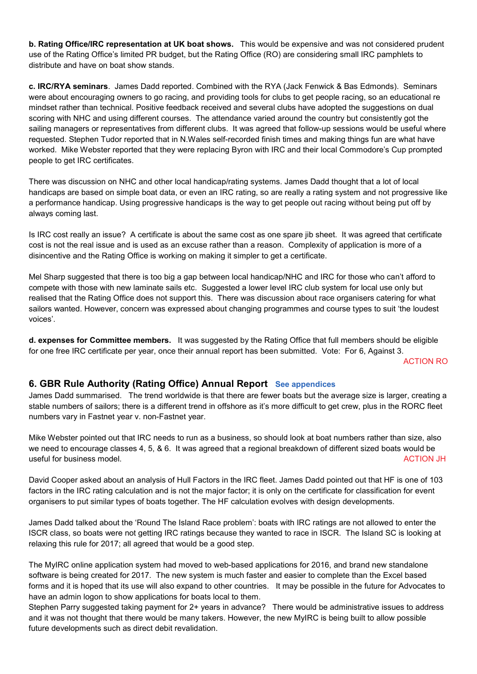**b. Rating Office/IRC representation at UK boat shows.** This would be expensive and was not considered prudent use of the Rating Office's limited PR budget, but the Rating Office (RO) are considering small IRC pamphlets to distribute and have on boat show stands.

**c. IRC/RYA seminars**. James Dadd reported. Combined with the RYA (Jack Fenwick & Bas Edmonds). Seminars were about encouraging owners to go racing, and providing tools for clubs to get people racing, so an educational re mindset rather than technical. Positive feedback received and several clubs have adopted the suggestions on dual scoring with NHC and using different courses. The attendance varied around the country but consistently got the sailing managers or representatives from different clubs. It was agreed that follow-up sessions would be useful where requested. Stephen Tudor reported that in N.Wales self-recorded finish times and making things fun are what have worked. Mike Webster reported that they were replacing Byron with IRC and their local Commodore's Cup prompted people to get IRC certificates.

There was discussion on NHC and other local handicap/rating systems. James Dadd thought that a lot of local handicaps are based on simple boat data, or even an IRC rating, so are really a rating system and not progressive like a performance handicap. Using progressive handicaps is the way to get people out racing without being put off by always coming last.

Is IRC cost really an issue? A certificate is about the same cost as one spare jib sheet. It was agreed that certificate cost is not the real issue and is used as an excuse rather than a reason. Complexity of application is more of a disincentive and the Rating Office is working on making it simpler to get a certificate.

Mel Sharp suggested that there is too big a gap between local handicap/NHC and IRC for those who can't afford to compete with those with new laminate sails etc. Suggested a lower level IRC club system for local use only but realised that the Rating Office does not support this. There was discussion about race organisers catering for what sailors wanted. However, concern was expressed about changing programmes and course types to suit 'the loudest voices'.

**d. expenses for Committee members.** It was suggested by the Rating Office that full members should be eligible for one free IRC certificate per year, once their annual report has been submitted. Vote: For 6, Against 3.

ACTION RO

# **6. GBR Rule Authority (Rating Office) Annual Report See appendices**

James Dadd summarised. The trend worldwide is that there are fewer boats but the average size is larger, creating a stable numbers of sailors; there is a different trend in offshore as it's more difficult to get crew, plus in the RORC fleet numbers vary in Fastnet year v. non-Fastnet year.

Mike Webster pointed out that IRC needs to run as a business, so should look at boat numbers rather than size, also we need to encourage classes 4, 5, & 6. It was agreed that a regional breakdown of different sized boats would be useful for business model. Action of the state of the state of the state of the state of the state of the state of the state of the state of the state of the state of the state of the state of the state of the state of the

David Cooper asked about an analysis of Hull Factors in the IRC fleet. James Dadd pointed out that HF is one of 103 factors in the IRC rating calculation and is not the major factor; it is only on the certificate for classification for event organisers to put similar types of boats together. The HF calculation evolves with design developments.

James Dadd talked about the 'Round The Island Race problem': boats with IRC ratings are not allowed to enter the ISCR class, so boats were not getting IRC ratings because they wanted to race in ISCR. The Island SC is looking at relaxing this rule for 2017; all agreed that would be a good step.

The MyIRC online application system had moved to web-based applications for 2016, and brand new standalone software is being created for 2017. The new system is much faster and easier to complete than the Excel based forms and it is hoped that its use will also expand to other countries. It may be possible in the future for Advocates to have an admin logon to show applications for boats local to them.

Stephen Parry suggested taking payment for 2+ years in advance? There would be administrative issues to address and it was not thought that there would be many takers. However, the new MyIRC is being built to allow possible future developments such as direct debit revalidation.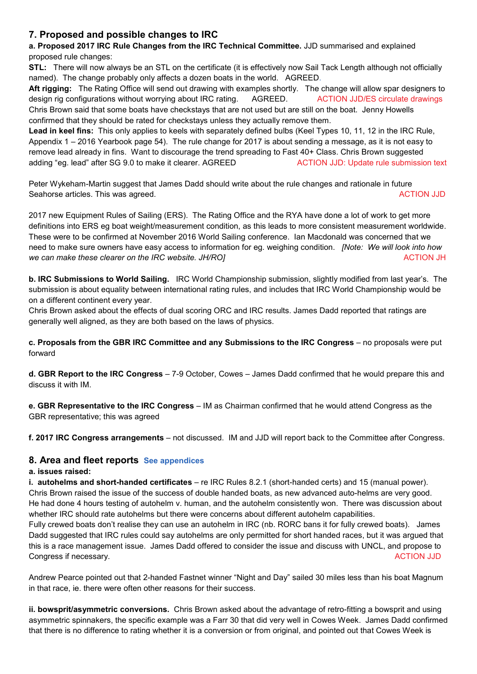# **7. Proposed and possible changes to IRC**

**a. Proposed 2017 IRC Rule Changes from the IRC Technical Committee.** JJD summarised and explained proposed rule changes:

**STL:** There will now always be an STL on the certificate (it is effectively now Sail Tack Length although not officially named). The change probably only affects a dozen boats in the world. AGREED.

**Aft rigging:** The Rating Office will send out drawing with examples shortly. The change will allow spar designers to design rig configurations without worrying about IRC rating. AGREED. ACTION JJD/ES circulate drawings Chris Brown said that some boats have checkstays that are not used but are still on the boat. Jenny Howells confirmed that they should be rated for checkstays unless they actually remove them.

**Lead in keel fins:** This only applies to keels with separately defined bulbs (Keel Types 10, 11, 12 in the IRC Rule, Appendix 1 – 2016 Yearbook page 54). The rule change for 2017 is about sending a message, as it is not easy to remove lead already in fins. Want to discourage the trend spreading to Fast 40+ Class. Chris Brown suggested adding "eg. lead" after SG 9.0 to make it clearer. AGREED ACTION JJD: Update rule submission text

Peter Wykeham-Martin suggest that James Dadd should write about the rule changes and rationale in future Seahorse articles. This was agreed. ACTION JJD Seahorse articles. This was agreed.

2017 new Equipment Rules of Sailing (ERS). The Rating Office and the RYA have done a lot of work to get more definitions into ERS eg boat weight/measurement condition, as this leads to more consistent measurement worldwide. These were to be confirmed at November 2016 World Sailing conference. Ian Macdonald was concerned that we need to make sure owners have easy access to information for eg. weighing condition. *[Note: We will look into how we can make these clearer on the IRC website. JH/RO]* ACTION JH

**b. IRC Submissions to World Sailing.** IRC World Championship submission, slightly modified from last year's. The submission is about equality between international rating rules, and includes that IRC World Championship would be on a different continent every year.

Chris Brown asked about the effects of dual scoring ORC and IRC results. James Dadd reported that ratings are generally well aligned, as they are both based on the laws of physics.

**c. Proposals from the GBR IRC Committee and any Submissions to the IRC Congress** – no proposals were put forward

**d. GBR Report to the IRC Congress** – 7-9 October, Cowes – James Dadd confirmed that he would prepare this and discuss it with IM.

**e. GBR Representative to the IRC Congress** – IM as Chairman confirmed that he would attend Congress as the GBR representative; this was agreed

**f. 2017 IRC Congress arrangements** – not discussed. IM and JJD will report back to the Committee after Congress.

# **8. Area and fleet reports See appendices**

#### **a. issues raised:**

**i. autohelms and short-handed certificates** – re IRC Rules 8.2.1 (short-handed certs) and 15 (manual power). Chris Brown raised the issue of the success of double handed boats, as new advanced auto-helms are very good. He had done 4 hours testing of autohelm v. human, and the autohelm consistently won. There was discussion about whether IRC should rate autohelms but there were concerns about different autohelm capabilities.

Fully crewed boats don't realise they can use an autohelm in IRC (nb. RORC bans it for fully crewed boats). James Dadd suggested that IRC rules could say autohelms are only permitted for short handed races, but it was argued that this is a race management issue. James Dadd offered to consider the issue and discuss with UNCL, and propose to Congress if necessary. ACTION JJD

Andrew Pearce pointed out that 2-handed Fastnet winner "Night and Day" sailed 30 miles less than his boat Magnum in that race, ie. there were often other reasons for their success.

**ii. bowsprit/asymmetric conversions.** Chris Brown asked about the advantage of retro-fitting a bowsprit and using asymmetric spinnakers, the specific example was a Farr 30 that did very well in Cowes Week. James Dadd confirmed that there is no difference to rating whether it is a conversion or from original, and pointed out that Cowes Week is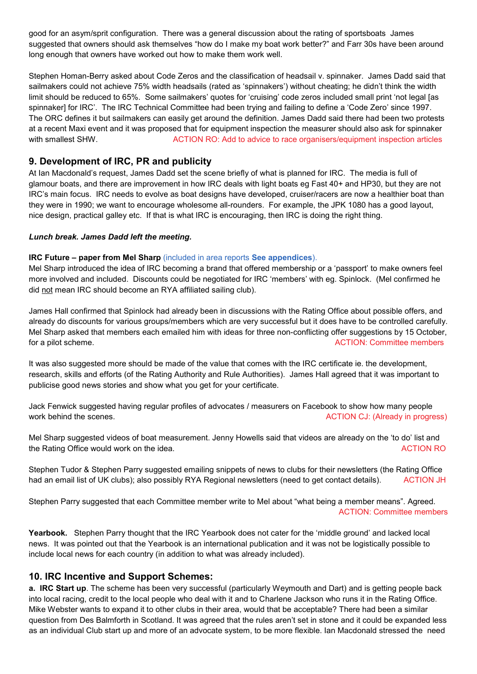good for an asym/sprit configuration. There was a general discussion about the rating of sportsboats James suggested that owners should ask themselves "how do I make my boat work better?" and Farr 30s have been around long enough that owners have worked out how to make them work well.

Stephen Homan-Berry asked about Code Zeros and the classification of headsail v. spinnaker. James Dadd said that sailmakers could not achieve 75% width headsails (rated as 'spinnakers') without cheating; he didn't think the width limit should be reduced to 65%. Some sailmakers' quotes for 'cruising' code zeros included small print 'not legal [as spinnaker] for IRC'. The IRC Technical Committee had been trying and failing to define a 'Code Zero' since 1997. The ORC defines it but sailmakers can easily get around the definition. James Dadd said there had been two protests at a recent Maxi event and it was proposed that for equipment inspection the measurer should also ask for spinnaker with smallest SHW. ACTION RO: Add to advice to race organisers/equipment inspection articles

# **9. Development of IRC, PR and publicity**

At Ian Macdonald's request, James Dadd set the scene briefly of what is planned for IRC. The media is full of glamour boats, and there are improvement in how IRC deals with light boats eg Fast 40+ and HP30, but they are not IRC's main focus. IRC needs to evolve as boat designs have developed, cruiser/racers are now a healthier boat than they were in 1990; we want to encourage wholesome all-rounders. For example, the JPK 1080 has a good layout, nice design, practical galley etc. If that is what IRC is encouraging, then IRC is doing the right thing.

#### *Lunch break. James Dadd left the meeting.*

#### **IRC Future – paper from Mel Sharp** (included in area reports **See appendices**).

Mel Sharp introduced the idea of IRC becoming a brand that offered membership or a 'passport' to make owners feel more involved and included. Discounts could be negotiated for IRC 'members' with eg. Spinlock. (Mel confirmed he did not mean IRC should become an RYA affiliated sailing club).

James Hall confirmed that Spinlock had already been in discussions with the Rating Office about possible offers, and already do discounts for various groups/members which are very successful but it does have to be controlled carefully. Mel Sharp asked that members each emailed him with ideas for three non-conflicting offer suggestions by 15 October, for a pilot scheme. ACTION: Committee members and the state of the state of the state of the state of the state of the state of the state of the state of the state of the state of the state of the state of the state of the

It was also suggested more should be made of the value that comes with the IRC certificate ie. the development, research, skills and efforts (of the Rating Authority and Rule Authorities). James Hall agreed that it was important to publicise good news stories and show what you get for your certificate.

Jack Fenwick suggested having regular profiles of advocates / measurers on Facebook to show how many people work behind the scenes. ACTION CJ: (Already in progress)

Mel Sharp suggested videos of boat measurement. Jenny Howells said that videos are already on the 'to do' list and the Rating Office would work on the idea. ACTION RO and the intervention of the state of the state of the idea.

Stephen Tudor & Stephen Parry suggested emailing snippets of news to clubs for their newsletters (the Rating Office had an email list of UK clubs); also possibly RYA Regional newsletters (need to get contact details). ACTION JH

Stephen Parry suggested that each Committee member write to Mel about "what being a member means". Agreed. ACTION: Committee members

**Yearbook.** Stephen Parry thought that the IRC Yearbook does not cater for the 'middle ground' and lacked local news. It was pointed out that the Yearbook is an international publication and it was not be logistically possible to include local news for each country (in addition to what was already included).

#### **10. IRC Incentive and Support Schemes:**

**a. IRC Start up**. The scheme has been very successful (particularly Weymouth and Dart) and is getting people back into local racing, credit to the local people who deal with it and to Charlene Jackson who runs it in the Rating Office. Mike Webster wants to expand it to other clubs in their area, would that be acceptable? There had been a similar question from Des Balmforth in Scotland. It was agreed that the rules aren't set in stone and it could be expanded less as an individual Club start up and more of an advocate system, to be more flexible. Ian Macdonald stressed the need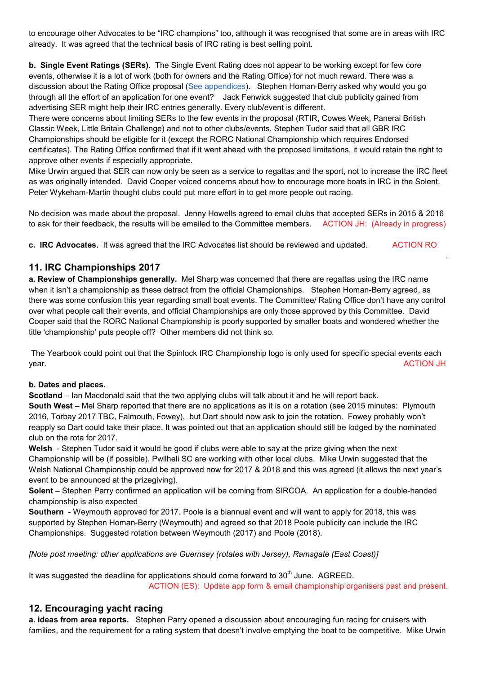to encourage other Advocates to be "IRC champions" too, although it was recognised that some are in areas with IRC already. It was agreed that the technical basis of IRC rating is best selling point.

**b. Single Event Ratings (SERs)**. The Single Event Rating does not appear to be working except for few core events, otherwise it is a lot of work (both for owners and the Rating Office) for not much reward. There was a discussion about the Rating Office proposal (See appendices). Stephen Homan-Berry asked why would you go through all the effort of an application for one event? Jack Fenwick suggested that club publicity gained from advertising SER might help their IRC entries generally. Every club/event is different.

There were concerns about limiting SERs to the few events in the proposal (RTIR, Cowes Week, Panerai British Classic Week, Little Britain Challenge) and not to other clubs/events. Stephen Tudor said that all GBR IRC Championships should be eligible for it (except the RORC National Championship which requires Endorsed certificates). The Rating Office confirmed that if it went ahead with the proposed limitations, it would retain the right to approve other events if especially appropriate.

Mike Urwin argued that SER can now only be seen as a service to regattas and the sport, not to increase the IRC fleet as was originally intended. David Cooper voiced concerns about how to encourage more boats in IRC in the Solent. Peter Wykeham-Martin thought clubs could put more effort in to get more people out racing.

No decision was made about the proposal. Jenny Howells agreed to email clubs that accepted SERs in 2015 & 2016 to ask for their feedback, the results will be emailed to the Committee members. ACTION JH: (Already in progress)

.

**c. IRC Advocates.** It was agreed that the IRC Advocates list should be reviewed and updated. ACTION RO

# **11. IRC Championships 2017**

**a. Review of Championships generally.** Mel Sharp was concerned that there are regattas using the IRC name when it isn't a championship as these detract from the official Championships. Stephen Homan-Berry agreed, as there was some confusion this year regarding small boat events. The Committee/ Rating Office don't have any control over what people call their events, and official Championships are only those approved by this Committee. David Cooper said that the RORC National Championship is poorly supported by smaller boats and wondered whether the title 'championship' puts people off? Other members did not think so.

The Yearbook could point out that the Spinlock IRC Championship logo is only used for specific special events each year. ACTION JH

#### **b. Dates and places.**

**Scotland** – Ian Macdonald said that the two applying clubs will talk about it and he will report back.

**South West** – Mel Sharp reported that there are no applications as it is on a rotation (see 2015 minutes: Plymouth 2016, Torbay 2017 TBC, Falmouth, Fowey), but Dart should now ask to join the rotation. Fowey probably won't reapply so Dart could take their place. It was pointed out that an application should still be lodged by the nominated club on the rota for 2017.

**Welsh** - Stephen Tudor said it would be good if clubs were able to say at the prize giving when the next Championship will be (if possible). Pwllheli SC are working with other local clubs. Mike Urwin suggested that the Welsh National Championship could be approved now for 2017 & 2018 and this was agreed (it allows the next year's event to be announced at the prizegiving).

**Solent** – Stephen Parry confirmed an application will be coming from SIRCOA. An application for a double-handed championship is also expected

**Southern** - Weymouth approved for 2017. Poole is a biannual event and will want to apply for 2018, this was supported by Stephen Homan-Berry (Weymouth) and agreed so that 2018 Poole publicity can include the IRC Championships. Suggested rotation between Weymouth (2017) and Poole (2018).

*[Note post meeting: other applications are Guernsey (rotates with Jersey), Ramsgate (East Coast)]*

It was suggested the deadline for applications should come forward to  $30<sup>th</sup>$  June. AGREED. ACTION (ES): Update app form & email championship organisers past and present.

# **12. Encouraging yacht racing**

**a. ideas from area reports.** Stephen Parry opened a discussion about encouraging fun racing for cruisers with families, and the requirement for a rating system that doesn't involve emptying the boat to be competitive. Mike Urwin